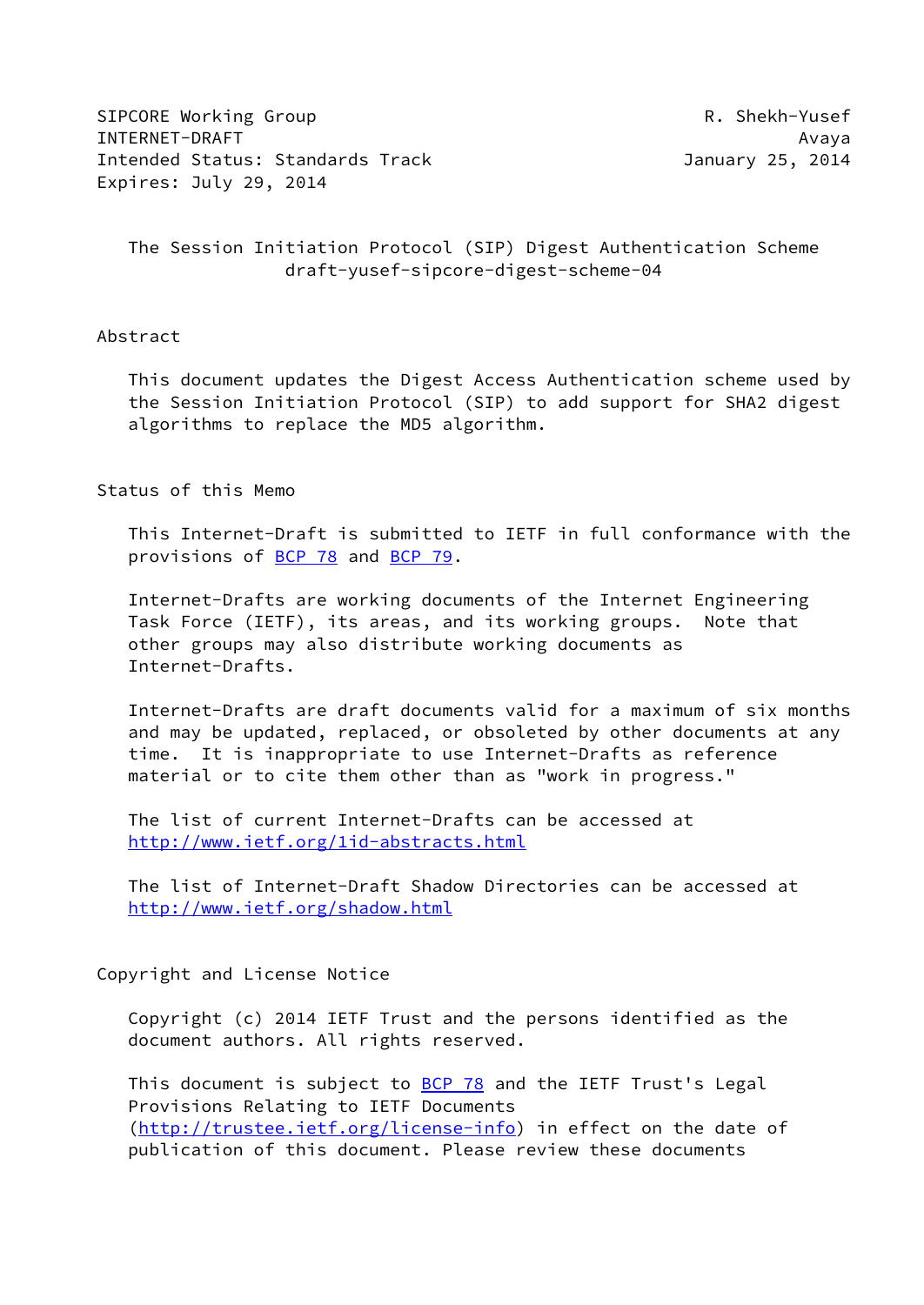SIPCORE Working Group **R. Shekh-Yusef** INTERNET-DRAFT Avaya Intended Status: Standards Track January 25, 2014 Expires: July 29, 2014

 The Session Initiation Protocol (SIP) Digest Authentication Scheme draft-yusef-sipcore-digest-scheme-04

## Abstract

 This document updates the Digest Access Authentication scheme used by the Session Initiation Protocol (SIP) to add support for SHA2 digest algorithms to replace the MD5 algorithm.

### Status of this Memo

 This Internet-Draft is submitted to IETF in full conformance with the provisions of [BCP 78](https://datatracker.ietf.org/doc/pdf/bcp78) and [BCP 79](https://datatracker.ietf.org/doc/pdf/bcp79).

 Internet-Drafts are working documents of the Internet Engineering Task Force (IETF), its areas, and its working groups. Note that other groups may also distribute working documents as Internet-Drafts.

 Internet-Drafts are draft documents valid for a maximum of six months and may be updated, replaced, or obsoleted by other documents at any time. It is inappropriate to use Internet-Drafts as reference material or to cite them other than as "work in progress."

 The list of current Internet-Drafts can be accessed at <http://www.ietf.org/1id-abstracts.html>

 The list of Internet-Draft Shadow Directories can be accessed at <http://www.ietf.org/shadow.html>

#### Copyright and License Notice

 Copyright (c) 2014 IETF Trust and the persons identified as the document authors. All rights reserved.

This document is subject to **[BCP 78](https://datatracker.ietf.org/doc/pdf/bcp78)** and the IETF Trust's Legal Provisions Relating to IETF Documents [\(http://trustee.ietf.org/license-info](http://trustee.ietf.org/license-info)) in effect on the date of publication of this document. Please review these documents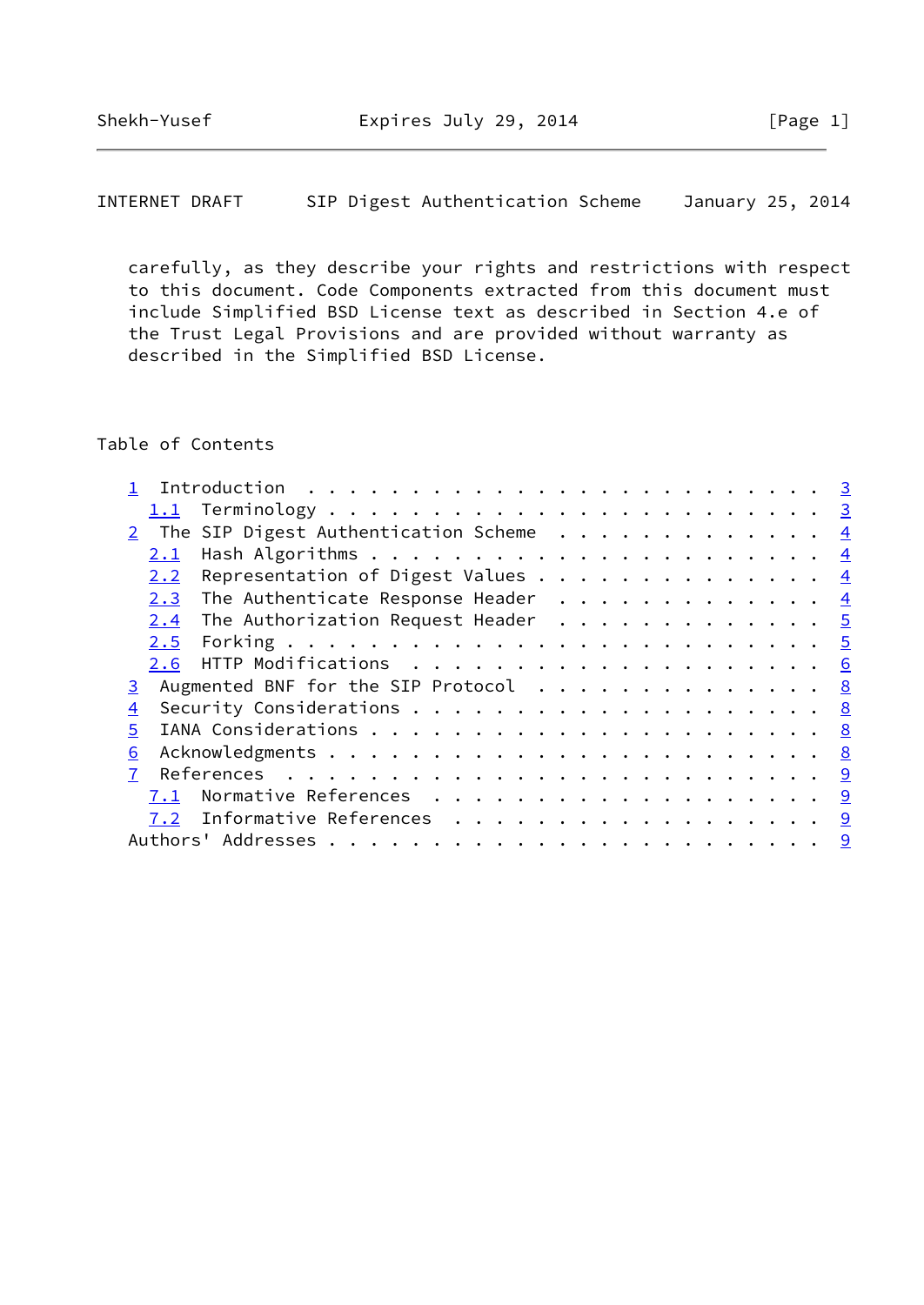INTERNET DRAFT SIP Digest Authentication Scheme January 25, 2014

 carefully, as they describe your rights and restrictions with respect to this document. Code Components extracted from this document must include Simplified BSD License text as described in Section 4.e of the Trust Legal Provisions and are provided without warranty as described in the Simplified BSD License.

# Table of Contents

| 2 The SIP Digest Authentication Scheme 4           |  |
|----------------------------------------------------|--|
| 2.1                                                |  |
| 2.2 Representation of Digest Values $\frac{4}{5}$  |  |
| 2.3 The Authenticate Response Header 4             |  |
| The Authorization Request Header $\cdots$ 5<br>2.4 |  |
|                                                    |  |
|                                                    |  |
| 3 Augmented BNF for the SIP Protocol 8             |  |
| 4                                                  |  |
| 5 <sup>1</sup>                                     |  |
| 6                                                  |  |
|                                                    |  |
| 7.1 Normative References 9                         |  |
| 7.2 Informative References 9                       |  |
|                                                    |  |
|                                                    |  |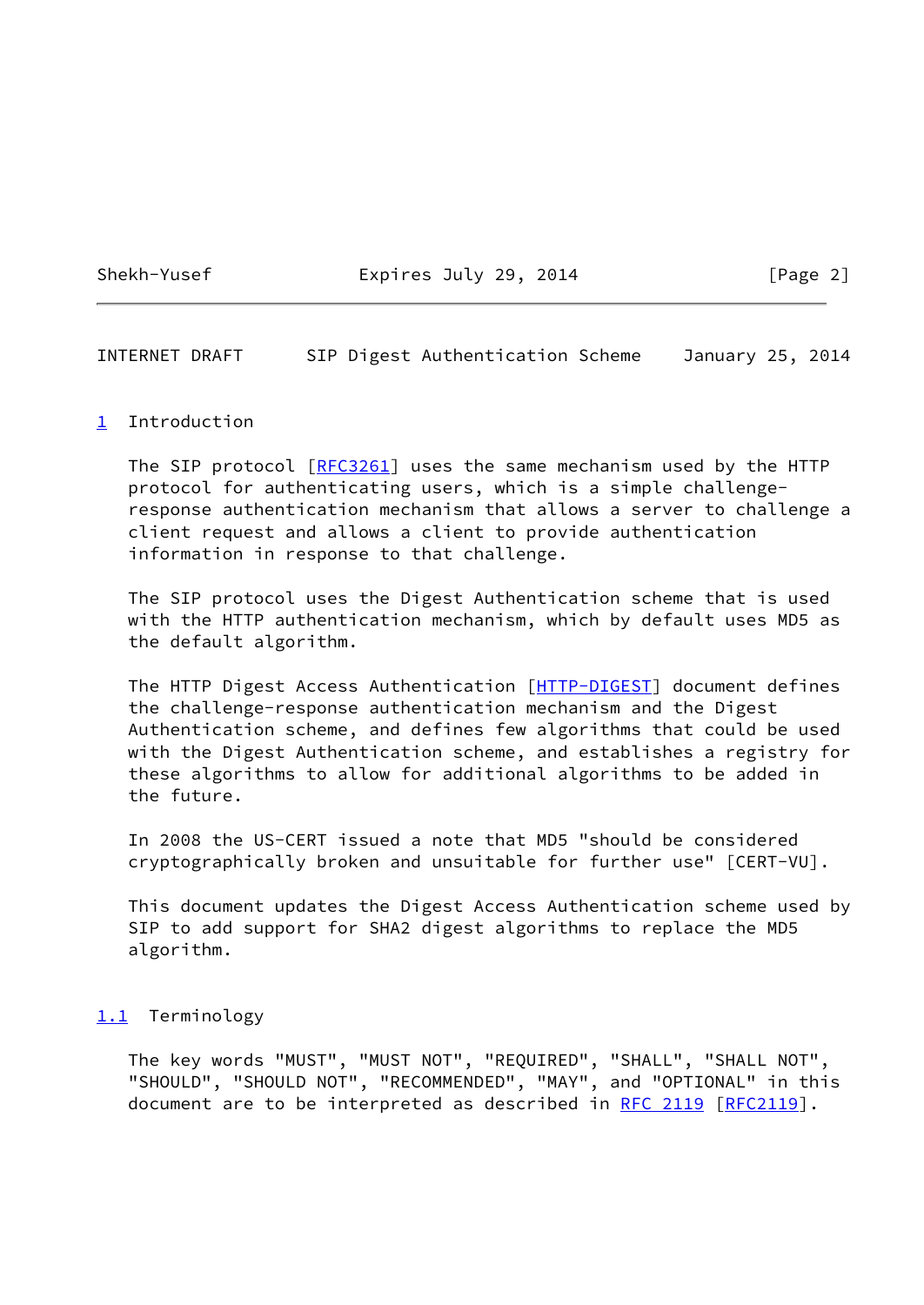Shekh-Yusef **Expires July 29, 2014** [Page 2]

<span id="page-2-1"></span>INTERNET DRAFT SIP Digest Authentication Scheme January 25, 2014

### <span id="page-2-0"></span>[1](#page-2-0) Introduction

The SIP protocol [\[RFC3261](https://datatracker.ietf.org/doc/pdf/rfc3261)] uses the same mechanism used by the HTTP protocol for authenticating users, which is a simple challenge response authentication mechanism that allows a server to challenge a client request and allows a client to provide authentication information in response to that challenge.

 The SIP protocol uses the Digest Authentication scheme that is used with the HTTP authentication mechanism, which by default uses MD5 as the default algorithm.

 The HTTP Digest Access Authentication [[HTTP-DIGEST](#page-9-4)] document defines the challenge-response authentication mechanism and the Digest Authentication scheme, and defines few algorithms that could be used with the Digest Authentication scheme, and establishes a registry for these algorithms to allow for additional algorithms to be added in the future.

 In 2008 the US-CERT issued a note that MD5 "should be considered cryptographically broken and unsuitable for further use" [CERT-VU].

 This document updates the Digest Access Authentication scheme used by SIP to add support for SHA2 digest algorithms to replace the MD5 algorithm.

# <span id="page-2-2"></span>[1.1](#page-2-2) Terminology

 The key words "MUST", "MUST NOT", "REQUIRED", "SHALL", "SHALL NOT", "SHOULD", "SHOULD NOT", "RECOMMENDED", "MAY", and "OPTIONAL" in this document are to be interpreted as described in [RFC 2119 \[RFC2119](https://datatracker.ietf.org/doc/pdf/rfc2119)].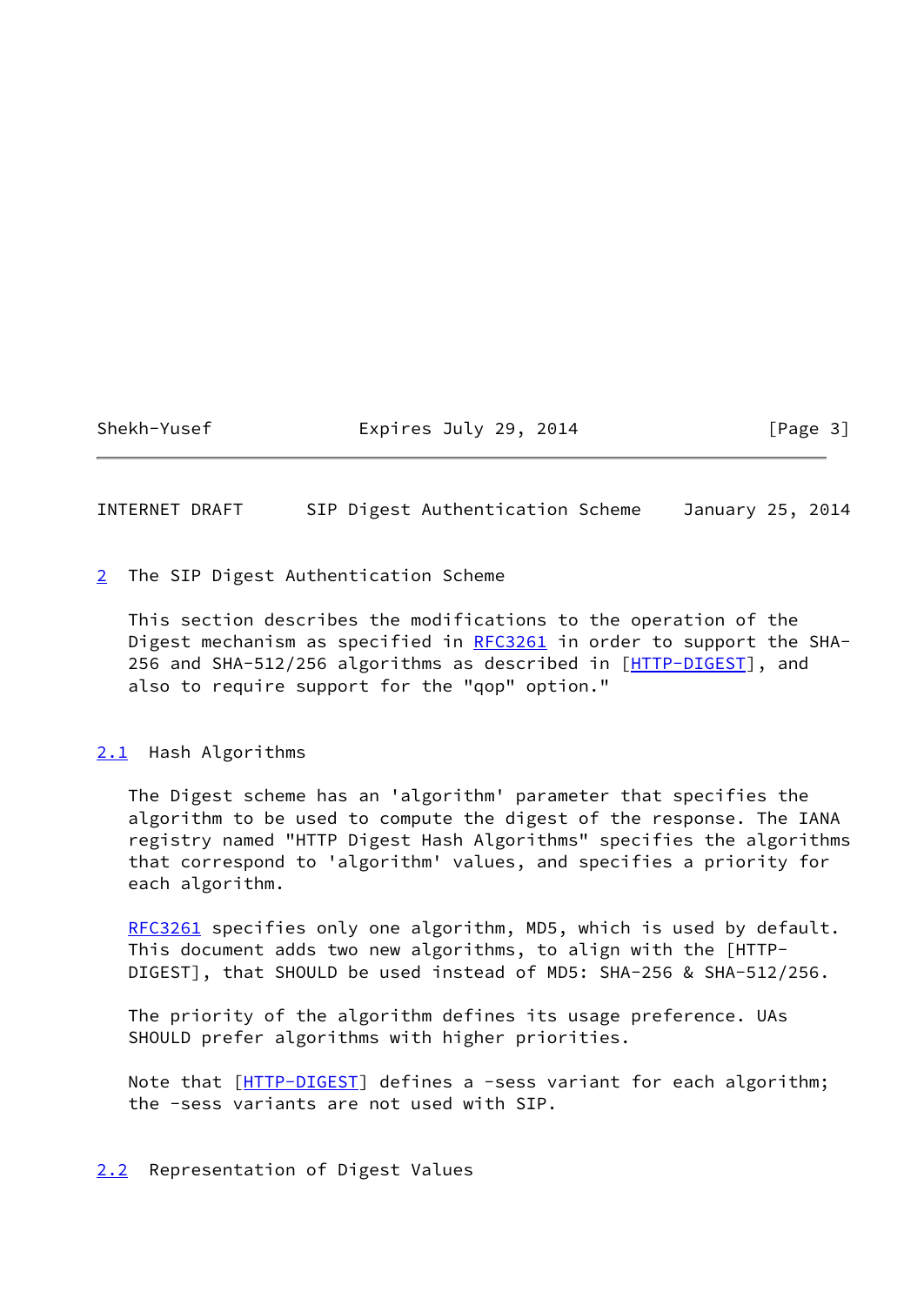## Shekh-Yusef **Expires July 29, 2014** [Page 3]

### <span id="page-3-1"></span>INTERNET DRAFT SIP Digest Authentication Scheme January 25, 2014

<span id="page-3-0"></span>[2](#page-3-0) The SIP Digest Authentication Scheme

 This section describes the modifications to the operation of the Digest mechanism as specified in [RFC3261](https://datatracker.ietf.org/doc/pdf/rfc3261) in order to support the SHA- 256 and SHA-512/256 algorithms as described in [\[HTTP-DIGEST](#page-9-4)], and also to require support for the "qop" option."

### <span id="page-3-2"></span>[2.1](#page-3-2) Hash Algorithms

 The Digest scheme has an 'algorithm' parameter that specifies the algorithm to be used to compute the digest of the response. The IANA registry named "HTTP Digest Hash Algorithms" specifies the algorithms that correspond to 'algorithm' values, and specifies a priority for each algorithm.

[RFC3261](https://datatracker.ietf.org/doc/pdf/rfc3261) specifies only one algorithm, MD5, which is used by default. This document adds two new algorithms, to align with the [HTTP- DIGEST], that SHOULD be used instead of MD5: SHA-256 & SHA-512/256.

 The priority of the algorithm defines its usage preference. UAs SHOULD prefer algorithms with higher priorities.

Note that [[HTTP-DIGEST](#page-9-4)] defines a -sess variant for each algorithm; the -sess variants are not used with SIP.

### <span id="page-3-3"></span>[2.2](#page-3-3) Representation of Digest Values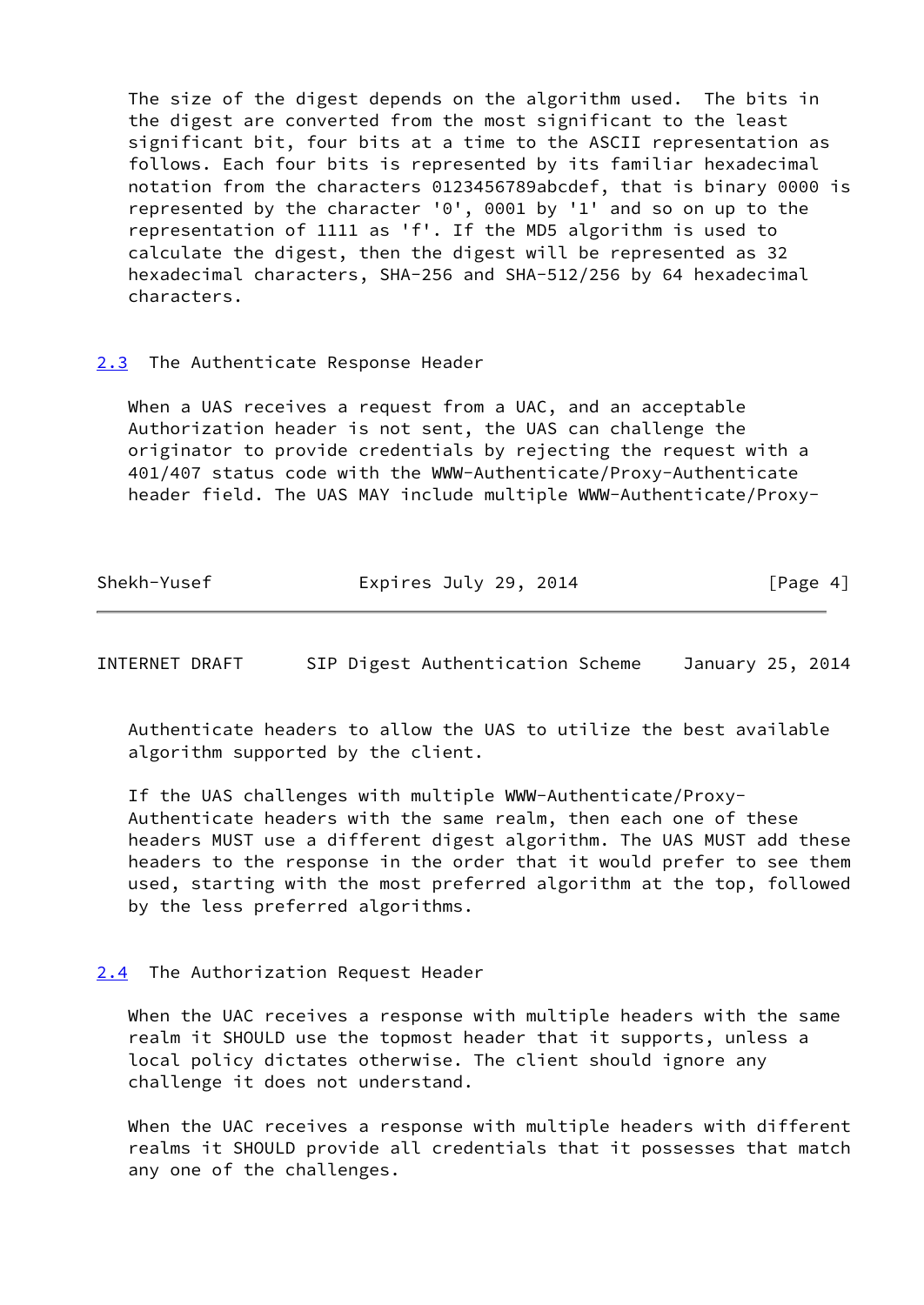The size of the digest depends on the algorithm used. The bits in the digest are converted from the most significant to the least significant bit, four bits at a time to the ASCII representation as follows. Each four bits is represented by its familiar hexadecimal notation from the characters 0123456789abcdef, that is binary 0000 is represented by the character '0', 0001 by '1' and so on up to the representation of 1111 as 'f'. If the MD5 algorithm is used to calculate the digest, then the digest will be represented as 32 hexadecimal characters, SHA-256 and SHA-512/256 by 64 hexadecimal characters.

## <span id="page-4-0"></span>[2.3](#page-4-0) The Authenticate Response Header

 When a UAS receives a request from a UAC, and an acceptable Authorization header is not sent, the UAS can challenge the originator to provide credentials by rejecting the request with a 401/407 status code with the WWW-Authenticate/Proxy-Authenticate header field. The UAS MAY include multiple WWW-Authenticate/Proxy-

| Shekh-Yusef<br>Expires July 29, 2014<br>[Page 4] |
|--------------------------------------------------|
|--------------------------------------------------|

<span id="page-4-2"></span>INTERNET DRAFT SIP Digest Authentication Scheme January 25, 2014

 Authenticate headers to allow the UAS to utilize the best available algorithm supported by the client.

 If the UAS challenges with multiple WWW-Authenticate/Proxy- Authenticate headers with the same realm, then each one of these headers MUST use a different digest algorithm. The UAS MUST add these headers to the response in the order that it would prefer to see them used, starting with the most preferred algorithm at the top, followed by the less preferred algorithms.

# <span id="page-4-1"></span>[2.4](#page-4-1) The Authorization Request Header

 When the UAC receives a response with multiple headers with the same realm it SHOULD use the topmost header that it supports, unless a local policy dictates otherwise. The client should ignore any challenge it does not understand.

 When the UAC receives a response with multiple headers with different realms it SHOULD provide all credentials that it possesses that match any one of the challenges.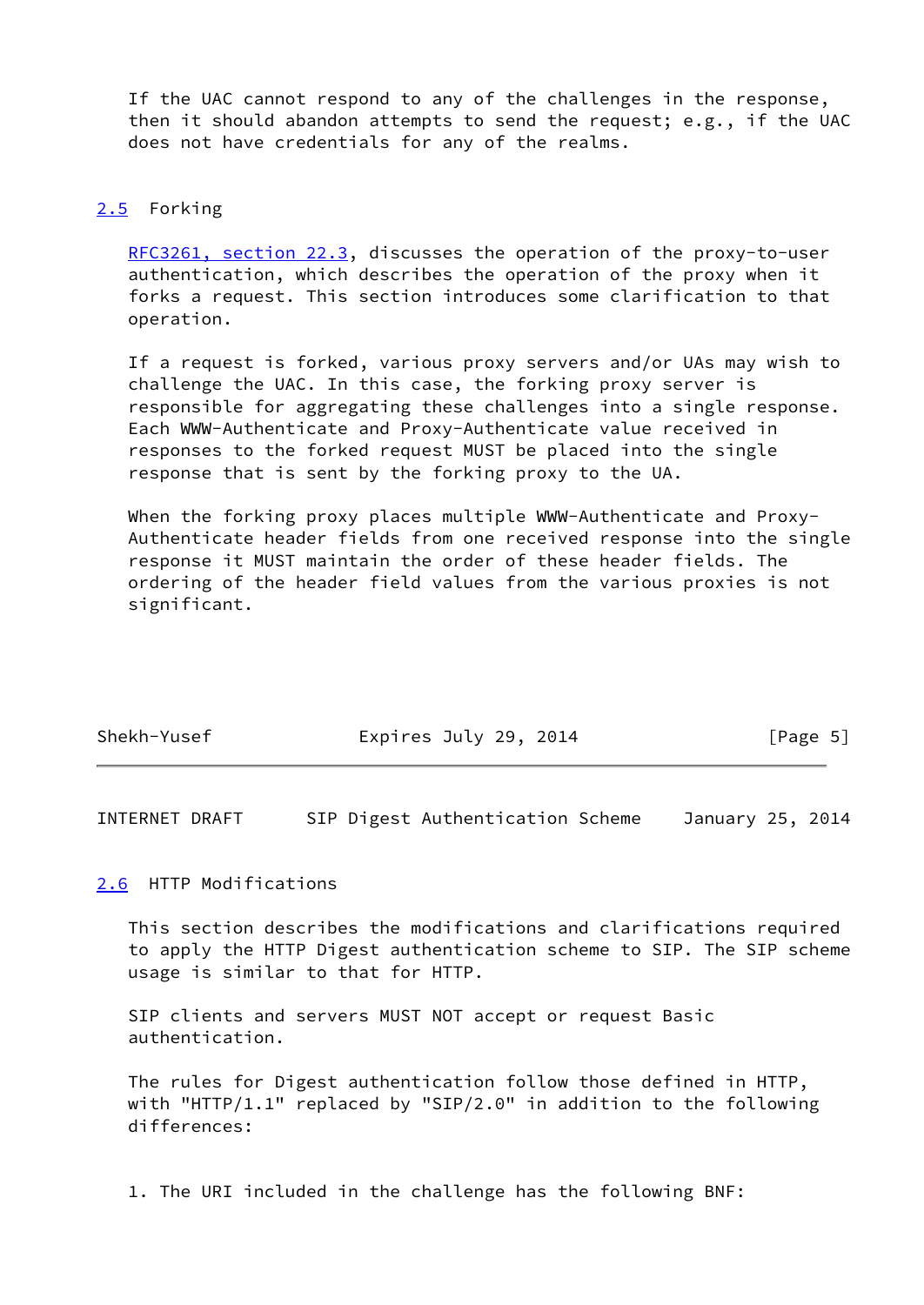If the UAC cannot respond to any of the challenges in the response, then it should abandon attempts to send the request; e.g., if the UAC does not have credentials for any of the realms.

## <span id="page-5-0"></span>[2.5](#page-5-0) Forking

 [RFC3261, section](https://datatracker.ietf.org/doc/pdf/rfc3261#section-22.3) 22.3, discusses the operation of the proxy-to-user authentication, which describes the operation of the proxy when it forks a request. This section introduces some clarification to that operation.

 If a request is forked, various proxy servers and/or UAs may wish to challenge the UAC. In this case, the forking proxy server is responsible for aggregating these challenges into a single response. Each WWW-Authenticate and Proxy-Authenticate value received in responses to the forked request MUST be placed into the single response that is sent by the forking proxy to the UA.

 When the forking proxy places multiple WWW-Authenticate and Proxy- Authenticate header fields from one received response into the single response it MUST maintain the order of these header fields. The ordering of the header field values from the various proxies is not significant.

| Shekh-Yusef | Expires July 29, 2014 | [Page 5] |
|-------------|-----------------------|----------|

<span id="page-5-2"></span>INTERNET DRAFT SIP Digest Authentication Scheme January 25, 2014

### <span id="page-5-1"></span>[2.6](#page-5-1) HTTP Modifications

 This section describes the modifications and clarifications required to apply the HTTP Digest authentication scheme to SIP. The SIP scheme usage is similar to that for HTTP.

 SIP clients and servers MUST NOT accept or request Basic authentication.

 The rules for Digest authentication follow those defined in HTTP, with "HTTP/1.1" replaced by "SIP/2.0" in addition to the following differences:

1. The URI included in the challenge has the following BNF: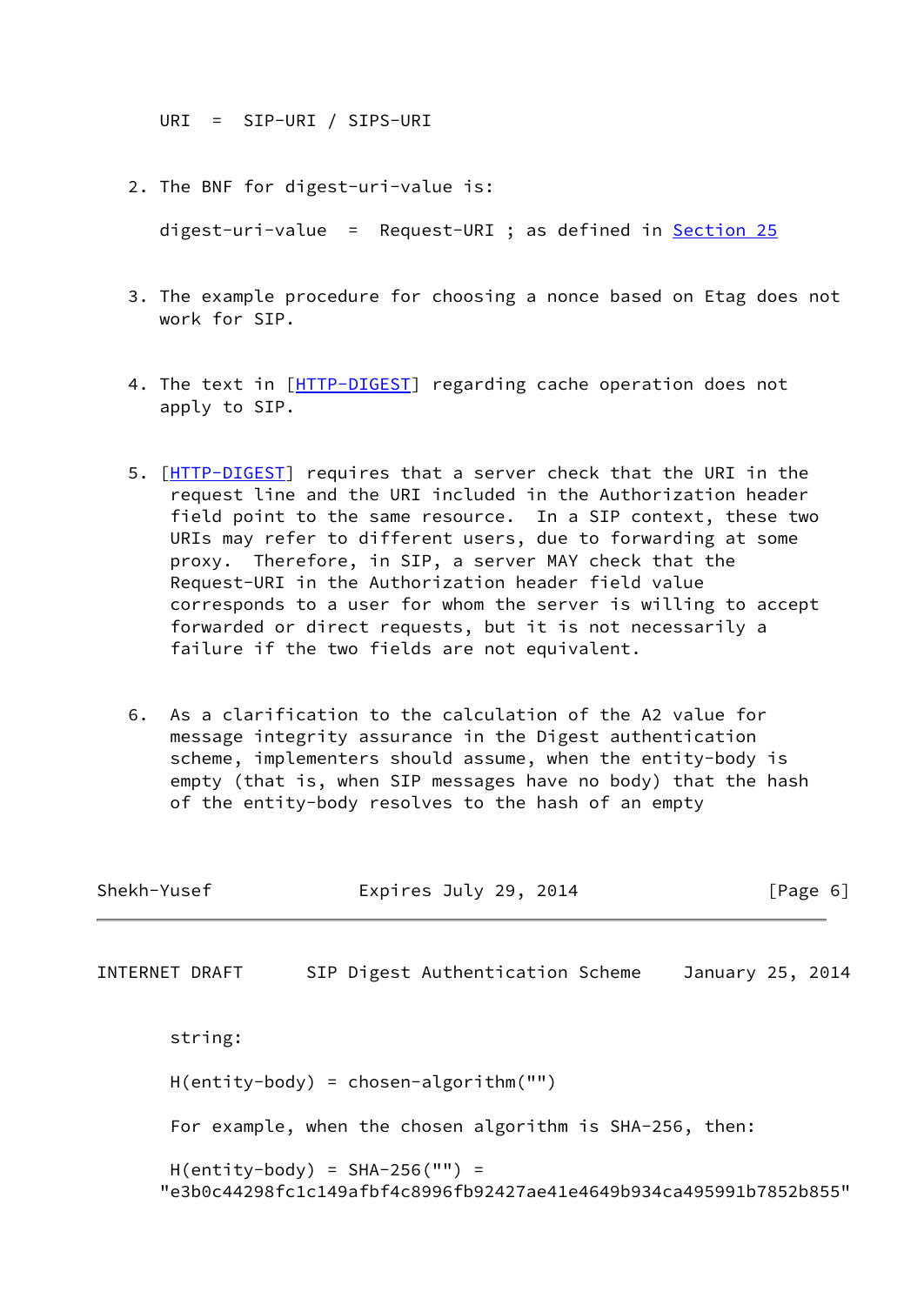URI = SIP-URI / SIPS-URI

2. The BNF for digest-uri-value is:

digest-uri-value = Request-URI ; as defined in Section 25

- 3. The example procedure for choosing a nonce based on Etag does not work for SIP.
- 4. The text in [\[HTTP-DIGEST](#page-9-4)] regarding cache operation does not apply to SIP.
- 5. [[HTTP-DIGEST\]](#page-9-4) requires that a server check that the URI in the request line and the URI included in the Authorization header field point to the same resource. In a SIP context, these two URIs may refer to different users, due to forwarding at some proxy. Therefore, in SIP, a server MAY check that the Request-URI in the Authorization header field value corresponds to a user for whom the server is willing to accept forwarded or direct requests, but it is not necessarily a failure if the two fields are not equivalent.
- 6. As a clarification to the calculation of the A2 value for message integrity assurance in the Digest authentication scheme, implementers should assume, when the entity-body is empty (that is, when SIP messages have no body) that the hash of the entity-body resolves to the hash of an empty

| Shekh-Yusef<br>INTERNET DRAFT                                                                          |                                                                                                        | Expires July 29, 2014 |  |  |  |                                  |                  |  | $\lceil \text{Page } 6 \rceil$ |  |
|--------------------------------------------------------------------------------------------------------|--------------------------------------------------------------------------------------------------------|-----------------------|--|--|--|----------------------------------|------------------|--|--------------------------------|--|
|                                                                                                        |                                                                                                        |                       |  |  |  | SIP Digest Authentication Scheme | January 25, 2014 |  |                                |  |
|                                                                                                        | string:                                                                                                |                       |  |  |  |                                  |                  |  |                                |  |
| $H(entity-body) = chosen-algorithms('''')$<br>For example, when the chosen algorithm is SHA-256, then: |                                                                                                        |                       |  |  |  |                                  |                  |  |                                |  |
|                                                                                                        |                                                                                                        |                       |  |  |  |                                  |                  |  |                                |  |
|                                                                                                        | $H(entity-body) = SHA-256("") =$<br>"e3b0c44298fc1c149afbf4c8996fb92427ae41e4649b934ca495991b7852b855" |                       |  |  |  |                                  |                  |  |                                |  |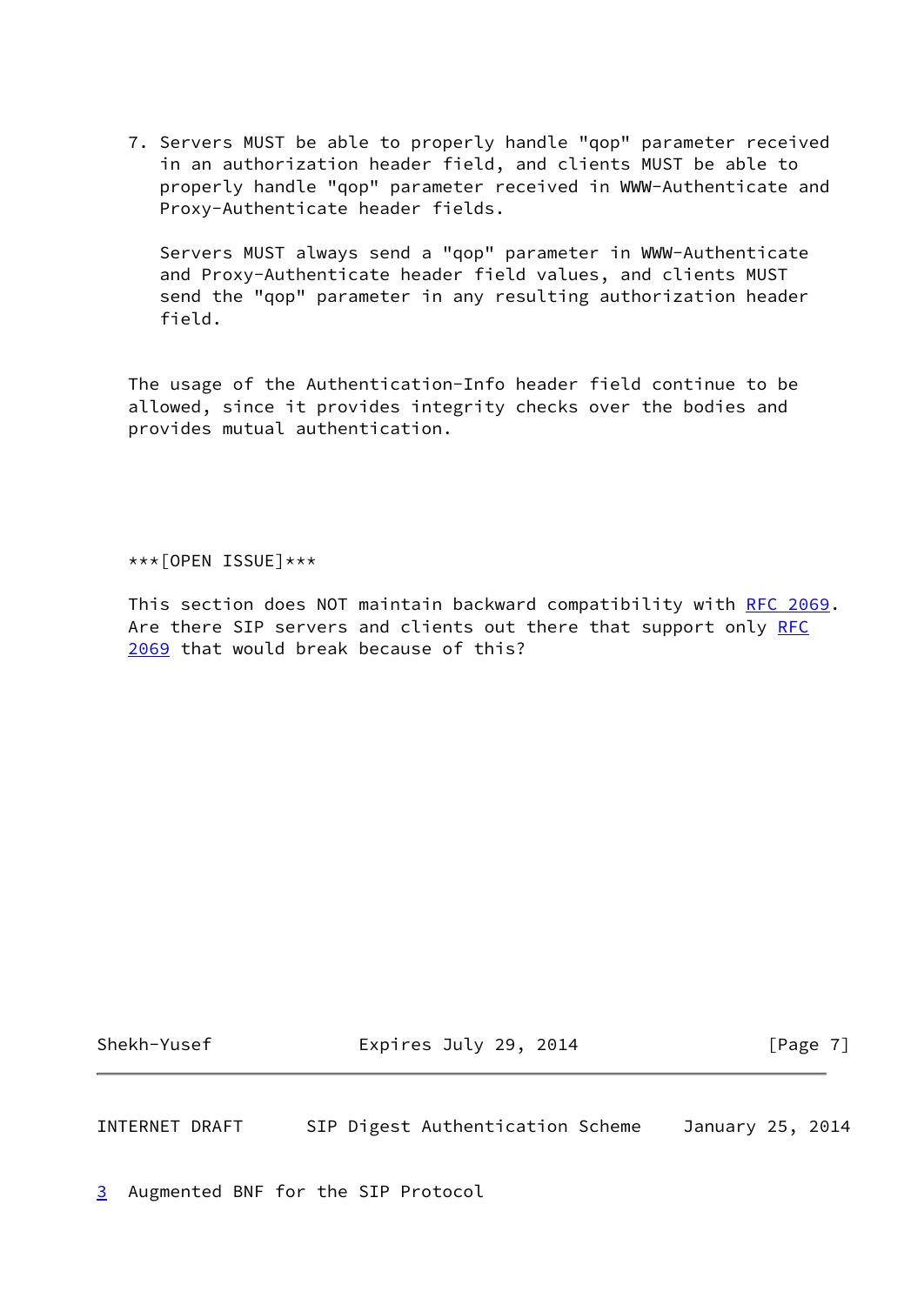7. Servers MUST be able to properly handle "qop" parameter received in an authorization header field, and clients MUST be able to properly handle "qop" parameter received in WWW-Authenticate and Proxy-Authenticate header fields.

 Servers MUST always send a "qop" parameter in WWW-Authenticate and Proxy-Authenticate header field values, and clients MUST send the "qop" parameter in any resulting authorization header field.

 The usage of the Authentication-Info header field continue to be allowed, since it provides integrity checks over the bodies and provides mutual authentication.

\*\*\*[OPEN ISSUE]\*\*\*

 This section does NOT maintain backward compatibility with [RFC 2069.](https://datatracker.ietf.org/doc/pdf/rfc2069) Are there SIP servers and clients out there that support only [RFC](https://datatracker.ietf.org/doc/pdf/rfc2069) [2069](https://datatracker.ietf.org/doc/pdf/rfc2069) that would break because of this?

Shekh-Yusef Expires July 29, 2014 [Page 7]

<span id="page-7-1"></span>INTERNET DRAFT SIP Digest Authentication Scheme January 25, 2014

<span id="page-7-0"></span>[3](#page-7-0) Augmented BNF for the SIP Protocol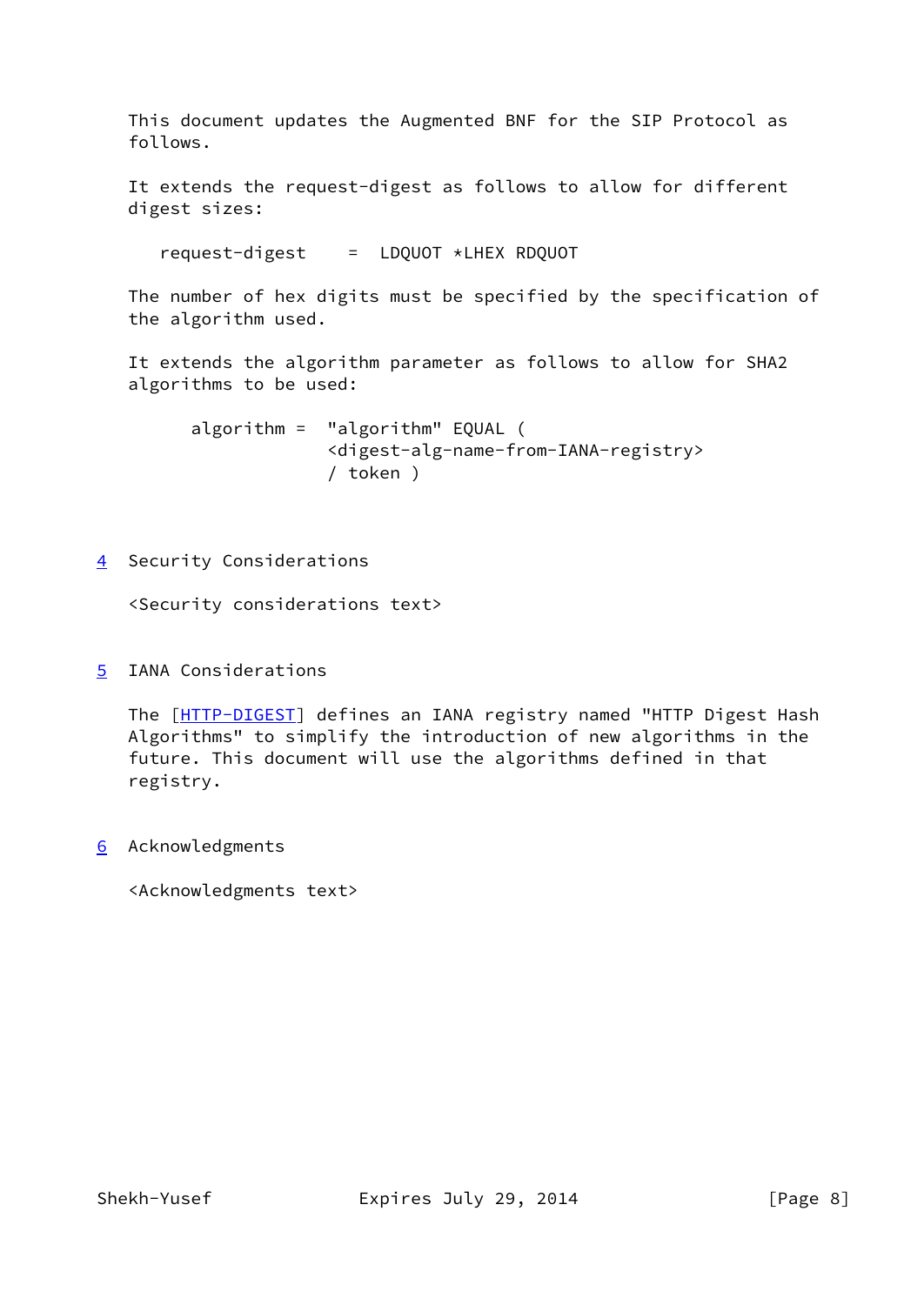This document updates the Augmented BNF for the SIP Protocol as follows.

 It extends the request-digest as follows to allow for different digest sizes:

request-digest = LDQUOT \*LHEX RDQUOT

 The number of hex digits must be specified by the specification of the algorithm used.

 It extends the algorithm parameter as follows to allow for SHA2 algorithms to be used:

 algorithm = "algorithm" EQUAL ( <digest-alg-name-from-IANA-registry> / token )

<span id="page-8-0"></span>[4](#page-8-0) Security Considerations

<Security considerations text>

<span id="page-8-1"></span>[5](#page-8-1) IANA Considerations

The [\[HTTP-DIGEST](#page-9-4)] defines an IANA registry named "HTTP Digest Hash Algorithms" to simplify the introduction of new algorithms in the future. This document will use the algorithms defined in that registry.

<span id="page-8-2"></span>[6](#page-8-2) Acknowledgments

<Acknowledgments text>